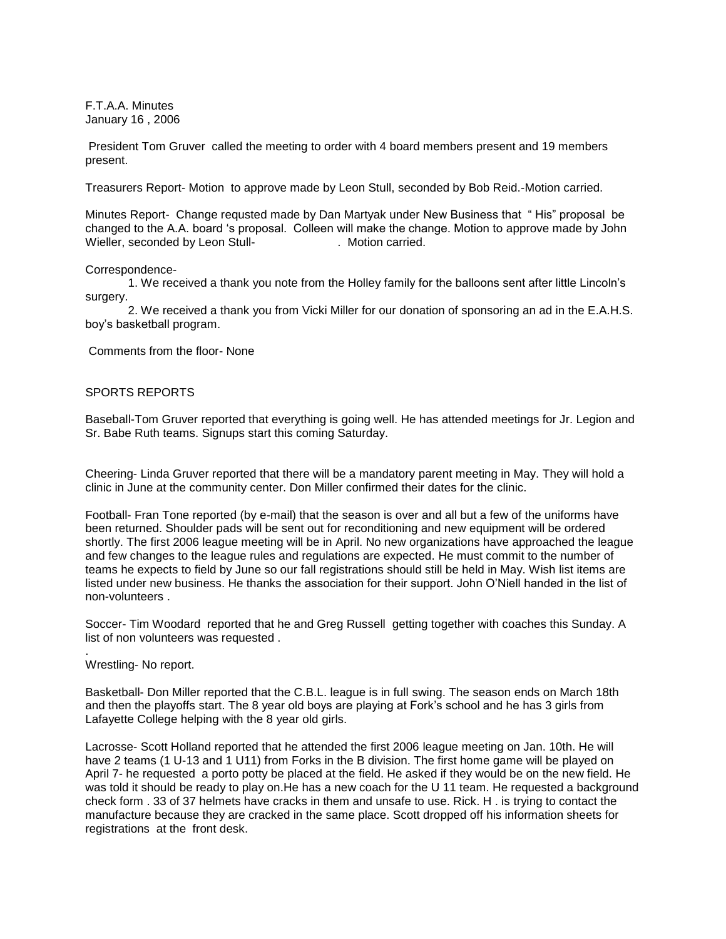F.T.A.A. Minutes January 16 , 2006

President Tom Gruver called the meeting to order with 4 board members present and 19 members present.

Treasurers Report- Motion to approve made by Leon Stull, seconded by Bob Reid.-Motion carried.

Minutes Report- Change requsted made by Dan Martyak under New Business that " His" proposal be changed to the A.A. board 's proposal. Colleen will make the change. Motion to approve made by John Wieller, seconded by Leon Stull- . Motion carried.

### Correspondence-

1. We received a thank you note from the Holley family for the balloons sent after little Lincoln's surgery.

 2. We received a thank you from Vicki Miller for our donation of sponsoring an ad in the E.A.H.S. boy's basketball program.

Comments from the floor- None

# SPORTS REPORTS

Baseball-Tom Gruver reported that everything is going well. He has attended meetings for Jr. Legion and Sr. Babe Ruth teams. Signups start this coming Saturday.

Cheering- Linda Gruver reported that there will be a mandatory parent meeting in May. They will hold a clinic in June at the community center. Don Miller confirmed their dates for the clinic.

Football- Fran Tone reported (by e-mail) that the season is over and all but a few of the uniforms have been returned. Shoulder pads will be sent out for reconditioning and new equipment will be ordered shortly. The first 2006 league meeting will be in April. No new organizations have approached the league and few changes to the league rules and regulations are expected. He must commit to the number of teams he expects to field by June so our fall registrations should still be held in May. Wish list items are listed under new business. He thanks the association for their support. John O'Niell handed in the list of non-volunteers .

Soccer- Tim Woodard reported that he and Greg Russell getting together with coaches this Sunday. A list of non volunteers was requested .

## Wrestling- No report.

.

Basketball- Don Miller reported that the C.B.L. league is in full swing. The season ends on March 18th and then the playoffs start. The 8 year old boys are playing at Fork's school and he has 3 girls from Lafayette College helping with the 8 year old girls.

Lacrosse- Scott Holland reported that he attended the first 2006 league meeting on Jan. 10th. He will have 2 teams (1 U-13 and 1 U11) from Forks in the B division. The first home game will be played on April 7- he requested a porto potty be placed at the field. He asked if they would be on the new field. He was told it should be ready to play on.He has a new coach for the U 11 team. He requested a background check form . 33 of 37 helmets have cracks in them and unsafe to use. Rick. H . is trying to contact the manufacture because they are cracked in the same place. Scott dropped off his information sheets for registrations at the front desk.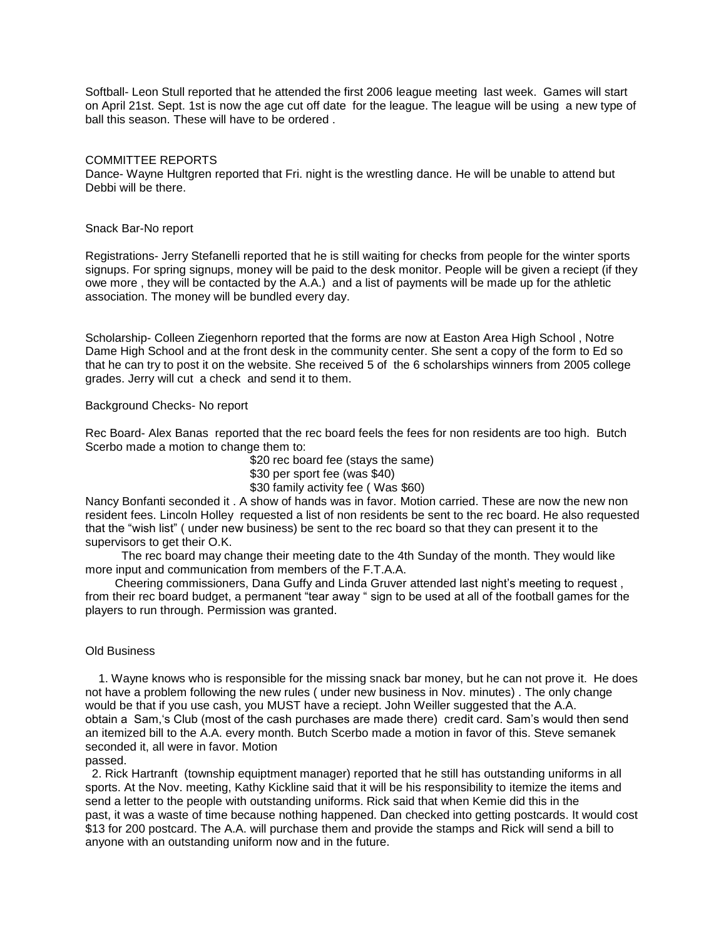Softball- Leon Stull reported that he attended the first 2006 league meeting last week. Games will start on April 21st. Sept. 1st is now the age cut off date for the league. The league will be using a new type of ball this season. These will have to be ordered .

## COMMITTEE REPORTS

Dance- Wayne Hultgren reported that Fri. night is the wrestling dance. He will be unable to attend but Debbi will be there.

## Snack Bar-No report

Registrations- Jerry Stefanelli reported that he is still waiting for checks from people for the winter sports signups. For spring signups, money will be paid to the desk monitor. People will be given a reciept (if they owe more , they will be contacted by the A.A.) and a list of payments will be made up for the athletic association. The money will be bundled every day.

Scholarship- Colleen Ziegenhorn reported that the forms are now at Easton Area High School , Notre Dame High School and at the front desk in the community center. She sent a copy of the form to Ed so that he can try to post it on the website. She received 5 of the 6 scholarships winners from 2005 college grades. Jerry will cut a check and send it to them.

## Background Checks- No report

Rec Board- Alex Banas reported that the rec board feels the fees for non residents are too high. Butch Scerbo made a motion to change them to:

> \$20 rec board fee (stays the same) \$30 per sport fee (was \$40) \$30 family activity fee ( Was \$60)

Nancy Bonfanti seconded it . A show of hands was in favor. Motion carried. These are now the new non resident fees. Lincoln Holley requested a list of non residents be sent to the rec board. He also requested that the "wish list" ( under new business) be sent to the rec board so that they can present it to the supervisors to get their O.K.

 The rec board may change their meeting date to the 4th Sunday of the month. They would like more input and communication from members of the F.T.A.A.

 Cheering commissioners, Dana Guffy and Linda Gruver attended last night's meeting to request , from their rec board budget, a permanent "tear away " sign to be used at all of the football games for the players to run through. Permission was granted.

### Old Business

 1. Wayne knows who is responsible for the missing snack bar money, but he can not prove it. He does not have a problem following the new rules ( under new business in Nov. minutes) . The only change would be that if you use cash, you MUST have a reciept. John Weiller suggested that the A.A. obtain a Sam,'s Club (most of the cash purchases are made there) credit card. Sam's would then send an itemized bill to the A.A. every month. Butch Scerbo made a motion in favor of this. Steve semanek seconded it, all were in favor. Motion

### passed.

 2. Rick Hartranft (township equiptment manager) reported that he still has outstanding uniforms in all sports. At the Nov. meeting, Kathy Kickline said that it will be his responsibility to itemize the items and send a letter to the people with outstanding uniforms. Rick said that when Kemie did this in the past, it was a waste of time because nothing happened. Dan checked into getting postcards. It would cost \$13 for 200 postcard. The A.A. will purchase them and provide the stamps and Rick will send a bill to anyone with an outstanding uniform now and in the future.